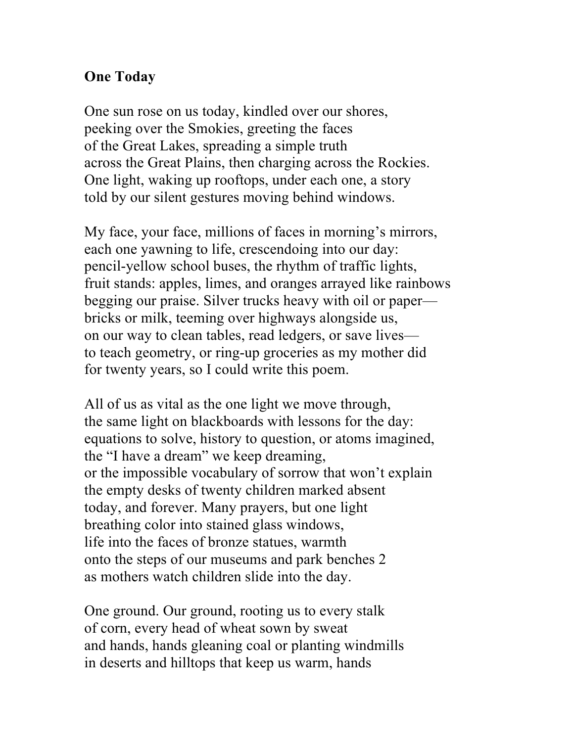## **One Today**

One sun rose on us today, kindled over our shores, peeking over the Smokies, greeting the faces of the Great Lakes, spreading a simple truth across the Great Plains, then charging across the Rockies. One light, waking up rooftops, under each one, a story told by our silent gestures moving behind windows.

My face, your face, millions of faces in morning's mirrors, each one yawning to life, crescendoing into our day: pencil-yellow school buses, the rhythm of traffic lights, fruit stands: apples, limes, and oranges arrayed like rainbows begging our praise. Silver trucks heavy with oil or paper bricks or milk, teeming over highways alongside us, on our way to clean tables, read ledgers, or save lives to teach geometry, or ring-up groceries as my mother did for twenty years, so I could write this poem.

All of us as vital as the one light we move through, the same light on blackboards with lessons for the day: equations to solve, history to question, or atoms imagined, the "I have a dream" we keep dreaming, or the impossible vocabulary of sorrow that won't explain the empty desks of twenty children marked absent today, and forever. Many prayers, but one light breathing color into stained glass windows, life into the faces of bronze statues, warmth onto the steps of our museums and park benches 2 as mothers watch children slide into the day.

One ground. Our ground, rooting us to every stalk of corn, every head of wheat sown by sweat and hands, hands gleaning coal or planting windmills in deserts and hilltops that keep us warm, hands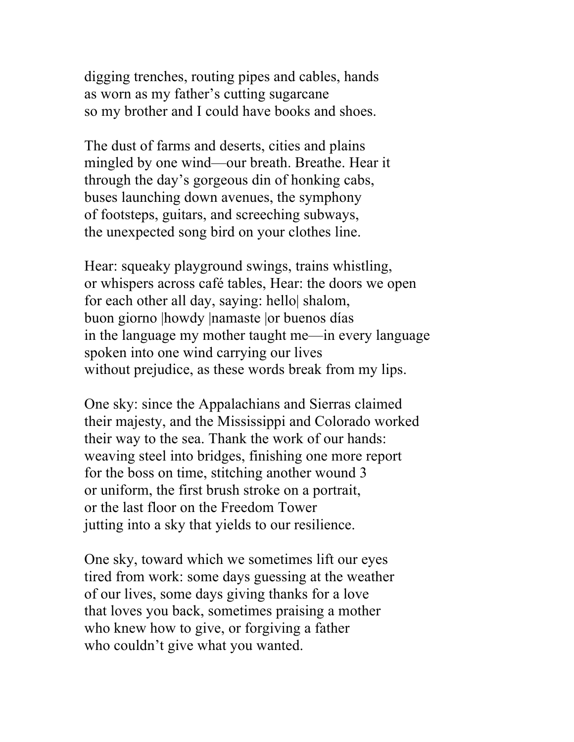digging trenches, routing pipes and cables, hands as worn as my father's cutting sugarcane so my brother and I could have books and shoes.

The dust of farms and deserts, cities and plains mingled by one wind—our breath. Breathe. Hear it through the day's gorgeous din of honking cabs, buses launching down avenues, the symphony of footsteps, guitars, and screeching subways, the unexpected song bird on your clothes line.

Hear: squeaky playground swings, trains whistling, or whispers across café tables, Hear: the doors we open for each other all day, saying: hello| shalom, buon giorno |howdy |namaste |or buenos días in the language my mother taught me—in every language spoken into one wind carrying our lives without prejudice, as these words break from my lips.

One sky: since the Appalachians and Sierras claimed their majesty, and the Mississippi and Colorado worked their way to the sea. Thank the work of our hands: weaving steel into bridges, finishing one more report for the boss on time, stitching another wound 3 or uniform, the first brush stroke on a portrait, or the last floor on the Freedom Tower jutting into a sky that yields to our resilience.

One sky, toward which we sometimes lift our eyes tired from work: some days guessing at the weather of our lives, some days giving thanks for a love that loves you back, sometimes praising a mother who knew how to give, or forgiving a father who couldn't give what you wanted.